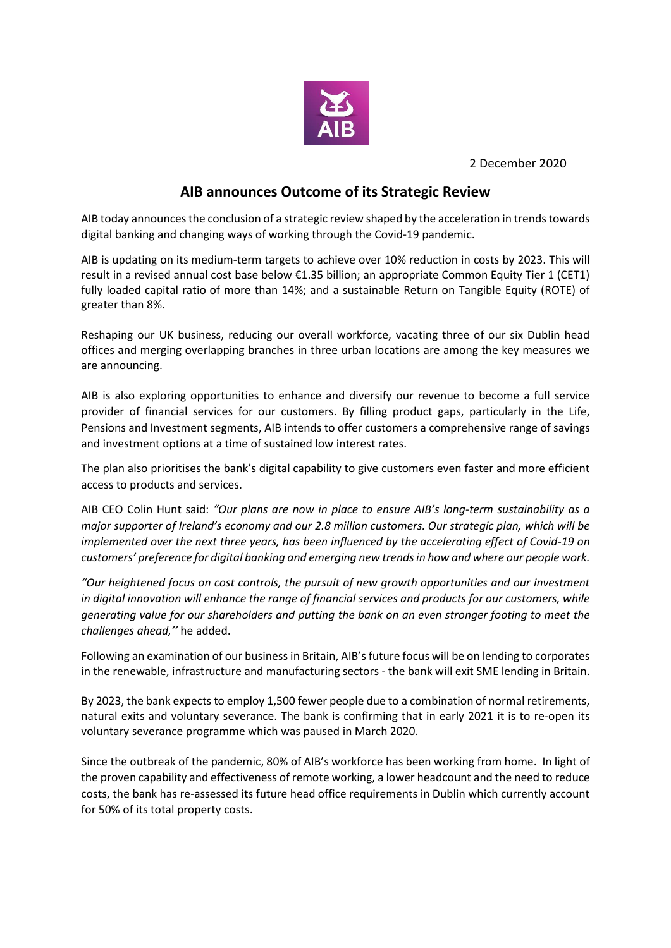

2 December 2020

## **AIB announces Outcome of its Strategic Review**

AIB today announces the conclusion of a strategic review shaped by the acceleration in trends towards digital banking and changing ways of working through the Covid-19 pandemic.

AIB is updating on its medium-term targets to achieve over 10% reduction in costs by 2023. This will result in a revised annual cost base below €1.35 billion; an appropriate Common Equity Tier 1 (CET1) fully loaded capital ratio of more than 14%; and a sustainable Return on Tangible Equity (ROTE) of greater than 8%.

Reshaping our UK business, reducing our overall workforce, vacating three of our six Dublin head offices and merging overlapping branches in three urban locations are among the key measures we are announcing.

AIB is also exploring opportunities to enhance and diversify our revenue to become a full service provider of financial services for our customers. By filling product gaps, particularly in the Life, Pensions and Investment segments, AIB intends to offer customers a comprehensive range of savings and investment options at a time of sustained low interest rates.

The plan also prioritises the bank's digital capability to give customers even faster and more efficient access to products and services.

AIB CEO Colin Hunt said: *"Our plans are now in place to ensure AIB's long-term sustainability as a major supporter of Ireland's economy and our 2.8 million customers. Our strategic plan, which will be implemented over the next three years, has been influenced by the accelerating effect of Covid-19 on customers' preference for digital banking and emerging new trends in how and where our people work.*

*"Our heightened focus on cost controls, the pursuit of new growth opportunities and our investment in digital innovation will enhance the range of financial services and products for our customers, while generating value for our shareholders and putting the bank on an even stronger footing to meet the challenges ahead,''* he added.

Following an examination of our business in Britain, AIB's future focus will be on lending to corporates in the renewable, infrastructure and manufacturing sectors - the bank will exit SME lending in Britain.

By 2023, the bank expects to employ 1,500 fewer people due to a combination of normal retirements, natural exits and voluntary severance. The bank is confirming that in early 2021 it is to re-open its voluntary severance programme which was paused in March 2020.

Since the outbreak of the pandemic, 80% of AIB's workforce has been working from home. In light of the proven capability and effectiveness of remote working, a lower headcount and the need to reduce costs, the bank has re-assessed its future head office requirements in Dublin which currently account for 50% of its total property costs.